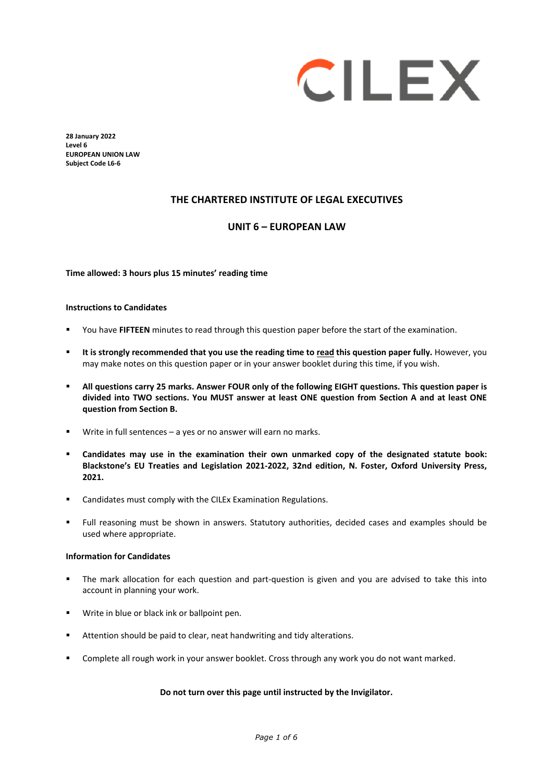# CILEX

**28 January 2022 Level 6 EUROPEAN UNION LAW Subject Code L6-6** 

# **THE CHARTERED INSTITUTE OF LEGAL EXECUTIVES**

# **UNIT 6 – EUROPEAN LAW**

**Time allowed: 3 hours plus 15 minutes' reading time**

#### **Instructions to Candidates**

- You have **FIFTEEN** minutes to read through this question paper before the start of the examination.
- **It is strongly recommended that you use the reading time to read this question paper fully.** However, you may make notes on this question paper or in your answer booklet during this time, if you wish.
- **All questions carry 25 marks. Answer FOUR only of the following EIGHT questions. This question paper is divided into TWO sections. You MUST answer at least ONE question from Section A and at least ONE question from Section B.**
- Write in full sentences a yes or no answer will earn no marks.
- **Candidates may use in the examination their own unmarked copy of the designated statute book: Blackstone's EU Treaties and Legislation 2021-2022, 32nd edition, N. Foster, Oxford University Press, 2021.**
- Candidates must comply with the CILEx Examination Regulations.
- Full reasoning must be shown in answers. Statutory authorities, decided cases and examples should be used where appropriate.

#### **Information for Candidates**

- The mark allocation for each question and part-question is given and you are advised to take this into account in planning your work.
- **Write in blue or black ink or ballpoint pen.**
- Attention should be paid to clear, neat handwriting and tidy alterations.
- Complete all rough work in your answer booklet. Cross through any work you do not want marked.

#### **Do not turn over this page until instructed by the Invigilator.**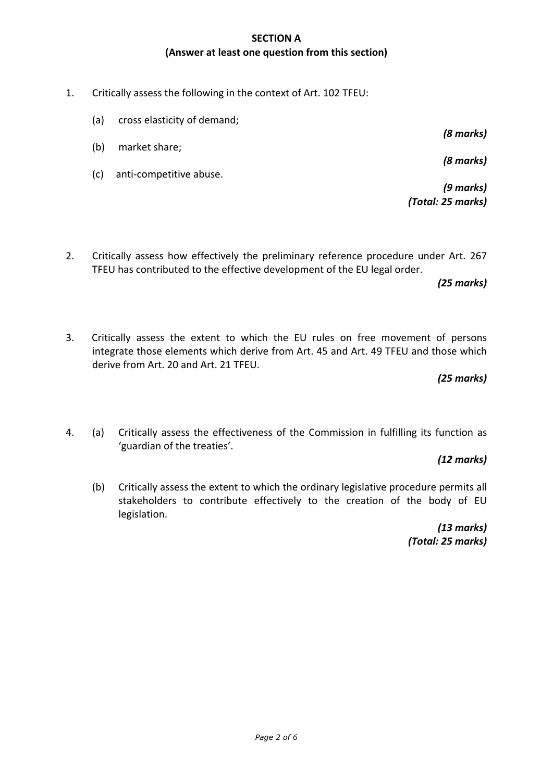# **SECTION A (Answer at least one question from this section)**

1. Critically assess the following in the context of Art. 102 TFEU:

(a) cross elasticity of demand;

- (b) market share;
- (c) anti-competitive abuse.

*(9 marks) (Total: 25 marks)*

*(8 marks)*

*(8 marks)*

2. Critically assess how effectively the preliminary reference procedure under Art. 267 TFEU has contributed to the effective development of the EU legal order.

*(25 marks)*

3. Critically assess the extent to which the EU rules on free movement of persons integrate those elements which derive from Art. 45 and Art. 49 TFEU and those which derive from Art. 20 and Art. 21 TFEU.

*(25 marks)*

4. (a) Critically assess the effectiveness of the Commission in fulfilling its function as 'guardian of the treaties'.

*(12 marks)*

(b) Critically assess the extent to which the ordinary legislative procedure permits all stakeholders to contribute effectively to the creation of the body of EU legislation.

> *(13 marks) (Total: 25 marks)*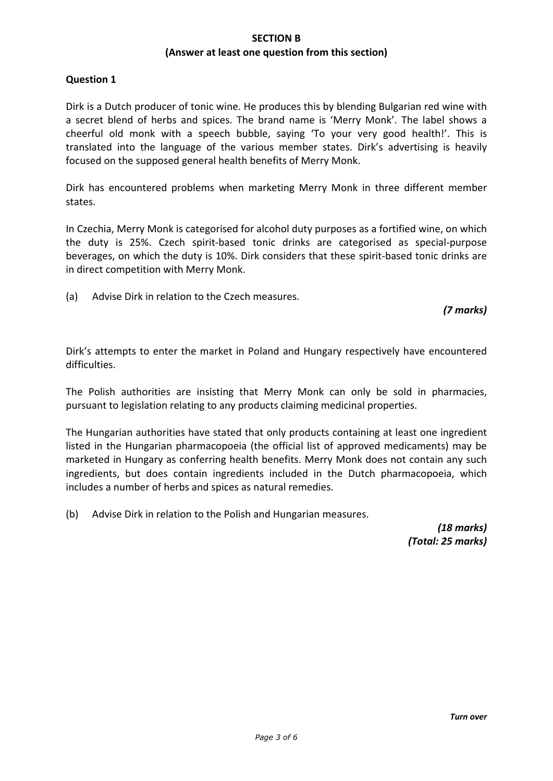## **SECTION B (Answer at least one question from this section)**

## **Question 1**

Dirk is a Dutch producer of tonic wine. He produces this by blending Bulgarian red wine with a secret blend of herbs and spices. The brand name is 'Merry Monk'. The label shows a cheerful old monk with a speech bubble, saying 'To your very good health!'. This is translated into the language of the various member states. Dirk's advertising is heavily focused on the supposed general health benefits of Merry Monk.

Dirk has encountered problems when marketing Merry Monk in three different member states.

In Czechia, Merry Monk is categorised for alcohol duty purposes as a fortified wine, on which the duty is 25%. Czech spirit-based tonic drinks are categorised as special-purpose beverages, on which the duty is 10%. Dirk considers that these spirit-based tonic drinks are in direct competition with Merry Monk.

(a) Advise Dirk in relation to the Czech measures.

*(7 marks)*

Dirk's attempts to enter the market in Poland and Hungary respectively have encountered difficulties.

The Polish authorities are insisting that Merry Monk can only be sold in pharmacies, pursuant to legislation relating to any products claiming medicinal properties.

The Hungarian authorities have stated that only products containing at least one ingredient listed in the Hungarian pharmacopoeia (the official list of approved medicaments) may be marketed in Hungary as conferring health benefits. Merry Monk does not contain any such ingredients, but does contain ingredients included in the Dutch pharmacopoeia, which includes a number of herbs and spices as natural remedies.

(b) Advise Dirk in relation to the Polish and Hungarian measures.

*(18 marks) (Total: 25 marks)*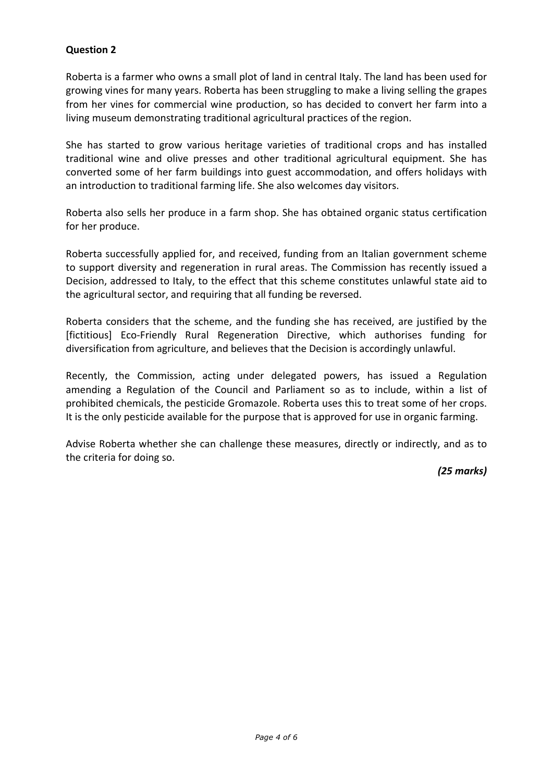# **Question 2**

Roberta is a farmer who owns a small plot of land in central Italy. The land has been used for growing vines for many years. Roberta has been struggling to make a living selling the grapes from her vines for commercial wine production, so has decided to convert her farm into a living museum demonstrating traditional agricultural practices of the region.

She has started to grow various heritage varieties of traditional crops and has installed traditional wine and olive presses and other traditional agricultural equipment. She has converted some of her farm buildings into guest accommodation, and offers holidays with an introduction to traditional farming life. She also welcomes day visitors.

Roberta also sells her produce in a farm shop. She has obtained organic status certification for her produce.

Roberta successfully applied for, and received, funding from an Italian government scheme to support diversity and regeneration in rural areas. The Commission has recently issued a Decision, addressed to Italy, to the effect that this scheme constitutes unlawful state aid to the agricultural sector, and requiring that all funding be reversed.

Roberta considers that the scheme, and the funding she has received, are justified by the [fictitious] Eco-Friendly Rural Regeneration Directive, which authorises funding for diversification from agriculture, and believes that the Decision is accordingly unlawful.

Recently, the Commission, acting under delegated powers, has issued a Regulation amending a Regulation of the Council and Parliament so as to include, within a list of prohibited chemicals, the pesticide Gromazole. Roberta uses this to treat some of her crops. It is the only pesticide available for the purpose that is approved for use in organic farming.

Advise Roberta whether she can challenge these measures, directly or indirectly, and as to the criteria for doing so.

*(25 marks)*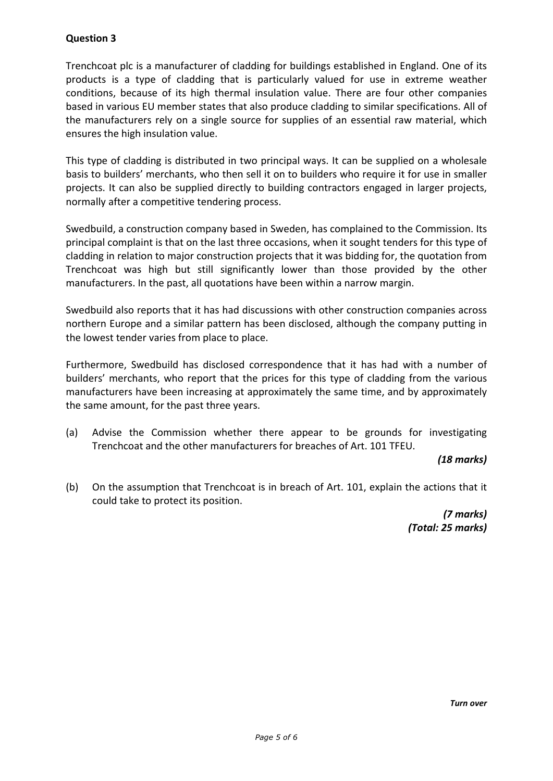# **Question 3**

Trenchcoat plc is a manufacturer of cladding for buildings established in England. One of its products is a type of cladding that is particularly valued for use in extreme weather conditions, because of its high thermal insulation value. There are four other companies based in various EU member states that also produce cladding to similar specifications. All of the manufacturers rely on a single source for supplies of an essential raw material, which ensures the high insulation value.

This type of cladding is distributed in two principal ways. It can be supplied on a wholesale basis to builders' merchants, who then sell it on to builders who require it for use in smaller projects. It can also be supplied directly to building contractors engaged in larger projects, normally after a competitive tendering process.

Swedbuild, a construction company based in Sweden, has complained to the Commission. Its principal complaint is that on the last three occasions, when it sought tenders for this type of cladding in relation to major construction projects that it was bidding for, the quotation from Trenchcoat was high but still significantly lower than those provided by the other manufacturers. In the past, all quotations have been within a narrow margin.

Swedbuild also reports that it has had discussions with other construction companies across northern Europe and a similar pattern has been disclosed, although the company putting in the lowest tender varies from place to place.

Furthermore, Swedbuild has disclosed correspondence that it has had with a number of builders' merchants, who report that the prices for this type of cladding from the various manufacturers have been increasing at approximately the same time, and by approximately the same amount, for the past three years.

(a) Advise the Commission whether there appear to be grounds for investigating Trenchcoat and the other manufacturers for breaches of Art. 101 TFEU.

## *(18 marks)*

(b) On the assumption that Trenchcoat is in breach of Art. 101, explain the actions that it could take to protect its position.

> *(7 marks) (Total: 25 marks)*